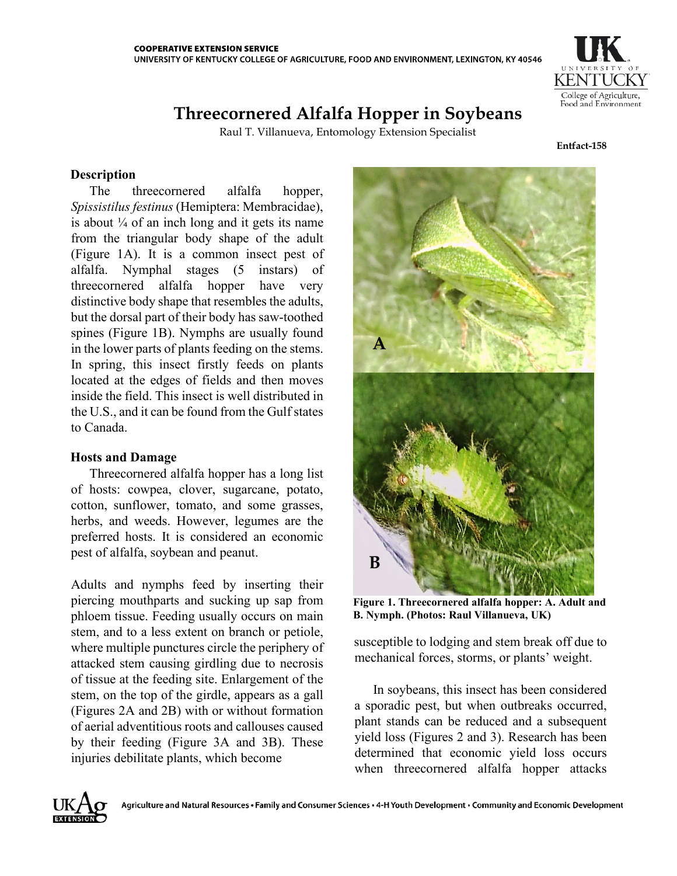

# **Threecornered Alfalfa Hopper in Soybeans**

Raul T. Villanueva, Entomology Extension Specialist

**Entfact-158**

# **Description**

The threecornered alfalfa hopper, *Spissistilus festinus* (Hemiptera: Membracidae), is about  $\frac{1}{4}$  of an inch long and it gets its name from the triangular body shape of the adult (Figure 1A). It is a common insect pest of alfalfa. Nymphal stages (5 instars) of threecornered alfalfa hopper have very distinctive body shape that resembles the adults, but the dorsal part of their body has saw-toothed spines (Figure 1B). Nymphs are usually found in the lower parts of plants feeding on the stems. In spring, this insect firstly feeds on plants located at the edges of fields and then moves inside the field. This insect is well distributed in the U.S., and it can be found from the Gulf states to Canada.

## **Hosts and Damage**

Threecornered alfalfa hopper has a long list of hosts: cowpea, clover, sugarcane, potato, cotton, sunflower, tomato, and some grasses, herbs, and weeds. However, legumes are the preferred hosts. It is considered an economic pest of alfalfa, soybean and peanut.

Adults and nymphs feed by inserting their piercing mouthparts and sucking up sap from phloem tissue. Feeding usually occurs on main stem, and to a less extent on branch or petiole, where multiple punctures circle the periphery of attacked stem causing girdling due to necrosis of tissue at the feeding site. Enlargement of the stem, on the top of the girdle, appears as a gall (Figures 2A and 2B) with or without formation of aerial adventitious roots and callouses caused by their feeding (Figure 3A and 3B). These injuries debilitate plants, which become



**Figure 1. Threecornered alfalfa hopper: A. Adult and B. Nymph. (Photos: Raul Villanueva, UK)**

susceptible to lodging and stem break off due to mechanical forces, storms, or plants' weight.

In soybeans, this insect has been considered a sporadic pest, but when outbreaks occurred, plant stands can be reduced and a subsequent yield loss (Figures 2 and 3). Research has been determined that economic yield loss occurs when threecornered alfalfa hopper attacks

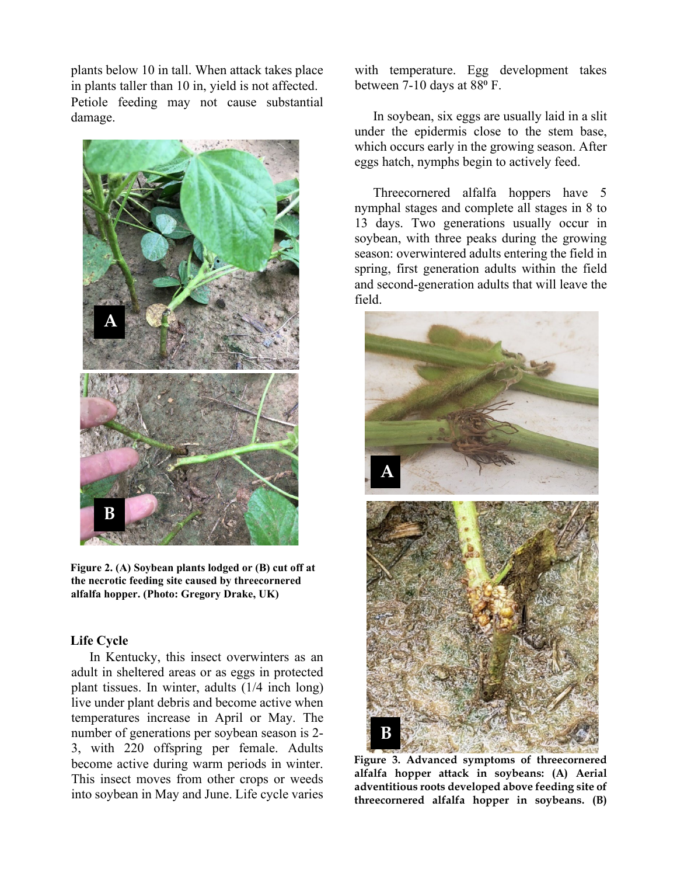plants below 10 in tall. When attack takes place in plants taller than 10 in, yield is not affected. Petiole feeding may not cause substantial damage.



**Figure 2. (A) Soybean plants lodged or (B) cut off at the necrotic feeding site caused by threecornered alfalfa hopper. (Photo: Gregory Drake, UK)**

# **Life Cycle**

In Kentucky, this insect overwinters as an adult in sheltered areas or as eggs in protected plant tissues. In winter, adults (1/4 inch long) live under plant debris and become active when temperatures increase in April or May. The number of generations per soybean season is 2- 3, with 220 offspring per female. Adults become active during warm periods in winter. This insect moves from other crops or weeds into soybean in May and June. Life cycle varies with temperature. Egg development takes between 7-10 days at 88°F.

In soybean, six eggs are usually laid in a slit under the epidermis close to the stem base, which occurs early in the growing season. After eggs hatch, nymphs begin to actively feed.

Threecornered alfalfa hoppers have 5 nymphal stages and complete all stages in 8 to 13 days. Two generations usually occur in soybean, with three peaks during the growing season: overwintered adults entering the field in spring, first generation adults within the field and second-generation adults that will leave the field.



**Figure 3. Advanced symptoms of threecornered alfalfa hopper attack in soybeans: (A) Aerial adventitious roots developed above feeding site of threecornered alfalfa hopper in soybeans. (B)**